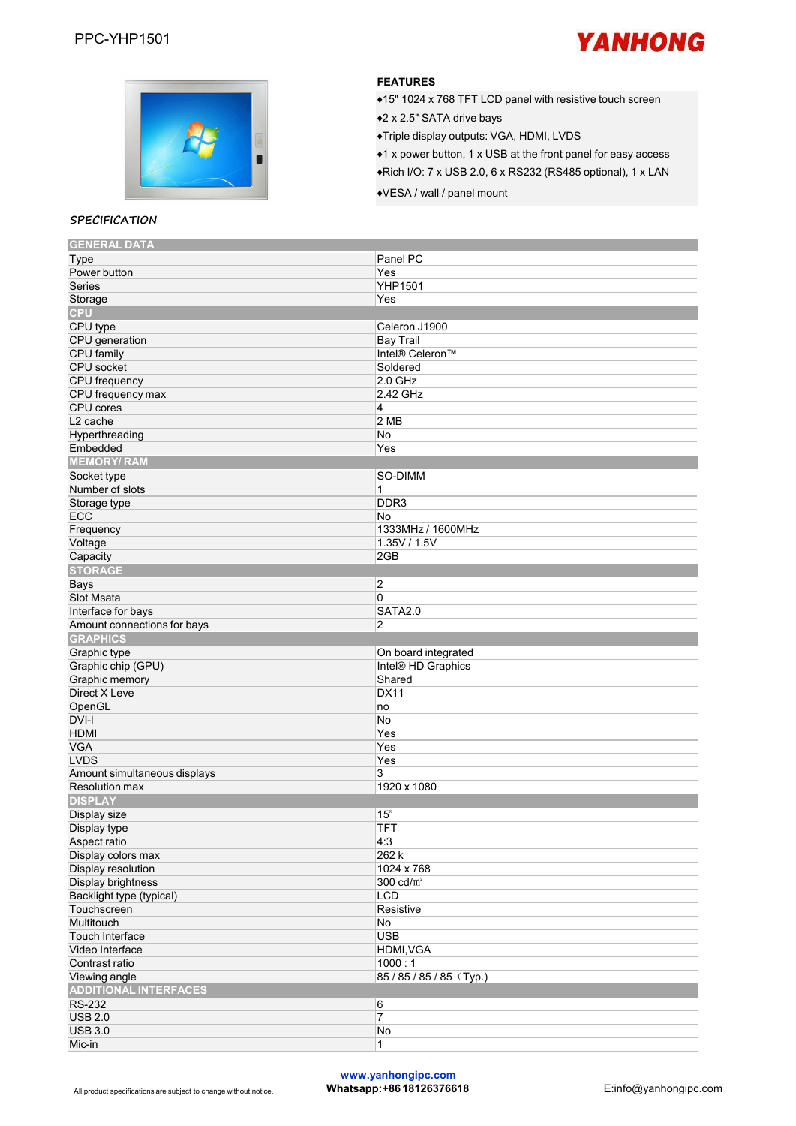



## **FEATURES**

- $*15" 1024 x 768 TFT LCD panel with resistive touch screen$
- ♦2 <sup>x</sup> 2.5" SATA drive bays♦Triple display outputs: VGA, HDMI, LVDS
- ♦1 x power button, 1 x USB at the front panel foreasy access
- ♦Rich I/O: 7 x USB 2.0, 6 x RS232 (RS485 optional),1 x LAN
- ♦VESA / wall / panel mount

#### **SPECIFICATION**

| Type                         | Panel PC                |
|------------------------------|-------------------------|
| Power button                 | Yes                     |
| <b>Series</b>                | <b>YHP1501</b>          |
| Storage                      | Yes                     |
| <b>CPU</b>                   |                         |
| CPU type                     | Celeron J1900           |
| CPU generation               | Bay Trail               |
| CPU family                   | Intel® Celeron™         |
| CPU socket                   | Soldered                |
| CPU frequency                | $2.0$ GHz               |
| CPU frequency max            | 2.42 GHz                |
| CPU cores                    | 4                       |
| L <sub>2</sub> cache         | 2MB                     |
|                              |                         |
| Hyperthreading               | No                      |
| Embedded                     | Yes                     |
| <b>MEMORY/RAM</b>            |                         |
| Socket type                  | SO-DIMM                 |
| Number of slots              | 1                       |
| Storage type                 | DDR <sub>3</sub>        |
| <b>ECC</b>                   | No                      |
| Frequency                    | 1333MHz / 1600MHz       |
| Voltage                      | 1.35V / 1.5V            |
| Capacity                     | 2GB                     |
| <b>STORAGE</b>               |                         |
| Bays                         | $\overline{\mathbf{2}}$ |
| Slot Msata                   | 0                       |
| Interface for bays           | SATA2.0                 |
| Amount connections for bays  | $\overline{c}$          |
| <b>GRAPHICS</b>              |                         |
| Graphic type                 | On board integrated     |
| Graphic chip (GPU)           | Intel® HD Graphics      |
| Graphic memory               | Shared                  |
| Direct X Leve                | <b>DX11</b>             |
| OpenGL                       | no                      |
| DVI-I                        | No                      |
| <b>HDMI</b>                  | Yes                     |
|                              | Yes                     |
|                              |                         |
| <b>VGA</b>                   |                         |
| <b>LVDS</b>                  | Yes                     |
| Amount simultaneous displays | 3                       |
| <b>Resolution max</b>        | 1920 x 1080             |
| <b>DISPLAY</b>               |                         |
| Display size                 | 15"                     |
| Display type                 | <b>TFT</b>              |
| Aspect ratio                 | 4:3                     |
| Display colors max           | 262 k                   |
| Display resolution           | 1024 x 768              |
|                              | 300 cd/m <sup>2</sup>   |
| Display brightness           |                         |
| Backlight type (typical)     | <b>LCD</b>              |
| Touchscreen                  | Resistive               |
| Multitouch                   | No                      |
| Touch Interface              | <b>USB</b>              |
| Video Interface              | <b>HDMI, VGA</b>        |
| Contrast ratio               | 1000:1                  |
| Viewing angle                | 85/85/85/85 (Typ.)      |
| <b>ADDITIONAL INTERFACES</b> |                         |
| <b>RS-232</b>                | 6                       |
| <b>USB 2.0</b>               | $\overline{7}$          |
| <b>USB 3.0</b><br>Mic-in     | No                      |